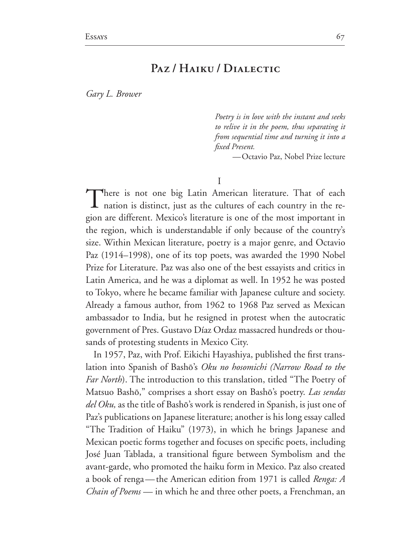## PAZ/HAIKU/DIALECTIC

Gary L. Brower

Poetry is in love with the instant and seeks to relive it in the poem, thus separating it from sequential time and turning it into a *fixed Present.* 

-Octavio Paz, Nobel Prize lecture

T

There is not one big Latin American literature. That of each nation is distinct, just as the cultures of each country in the region are different. Mexico's literature is one of the most important in the region, which is understandable if only because of the country's size. Within Mexican literature, poetry is a major genre, and Octavio Paz (1914–1998), one of its top poets, was awarded the 1990 Nobel Prize for Literature. Paz was also one of the best essayists and critics in Latin America, and he was a diplomat as well. In 1952 he was posted to Tokyo, where he became familiar with Japanese culture and society. Already a famous author, from 1962 to 1968 Paz served as Mexican ambassador to India, but he resigned in protest when the autocratic government of Pres. Gustavo Díaz Ordaz massacred hundreds or thousands of protesting students in Mexico City.

In 1957, Paz, with Prof. Eikichi Hayashiya, published the first translation into Spanish of Bashō's Oku no hosomichi (Narrow Road to the *Far North*). The introduction to this translation, titled "The Poetry of Matsuo Bashō," comprises a short essay on Bashō's poetry. Las sendas *del Oku*, as the title of Bashō's work is rendered in Spanish, is just one of Paz's publications on Japanese literature; another is his long essay called "The Tradition of Haiku" (1973), in which he brings Japanese and Mexican poetic forms together and focuses on specific poets, including José Juan Tablada, a transitional figure between Symbolism and the avant-garde, who promoted the haiku form in Mexico. Paz also created a book of renga—the American edition from 1971 is called Renga: A *Chain of Poems* — in which he and three other poets, a Frenchman, an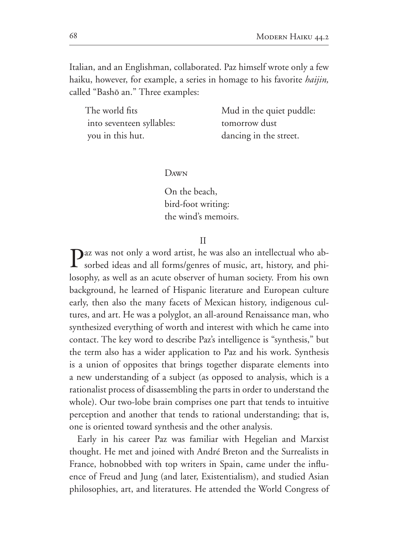Italian, and an Englishman, collaborated. Paz himself wrote only a few haiku, however, for example, a series in homage to his favorite *haijin*, called "Bashō an." Three examples:

| The world fits            | Mud in the quiet puddle: |
|---------------------------|--------------------------|
| into seventeen syllables: | tomorrow dust            |
| you in this hut.          | dancing in the street.   |

## $D<sub>AWN</sub>$

On the beach, bird-foot writing: the wind's memoirs.

 $\mathbf{H}$ 

Daz was not only a word artist, he was also an intellectual who ab-**1** sorbed ideas and all forms/genres of music, art, history, and philosophy, as well as an acute observer of human society. From his own background, he learned of Hispanic literature and European culture early, then also the many facets of Mexican history, indigenous cultures, and art. He was a polyglot, an all-around Renaissance man, who synthesized everything of worth and interest with which he came into contact. The key word to describe Paz's intelligence is "synthesis," but the term also has a wider application to Paz and his work. Synthesis is a union of opposites that brings together disparate elements into a new understanding of a subject (as opposed to analysis, which is a rationalist process of disassembling the parts in order to understand the whole). Our two-lobe brain comprises one part that tends to intuitive perception and another that tends to rational understanding; that is, one is oriented toward synthesis and the other analysis.

Early in his career Paz was familiar with Hegelian and Marxist thought. He met and joined with André Breton and the Surrealists in France, hobnobbed with top writers in Spain, came under the influence of Freud and Jung (and later, Existentialism), and studied Asian philosophies, art, and literatures. He attended the World Congress of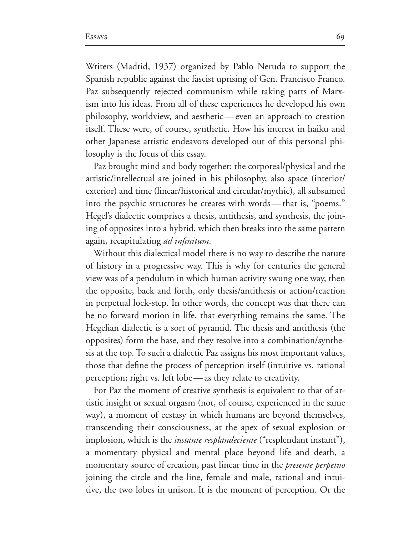Essays 69

Writers (Madrid, 1937) organized by Pablo Neruda to support the Spanish republic against the fascist uprising of Gen. Francisco Franco. Paz subsequently rejected communism while taking parts of Marx ism into his ideas. From all of these experiences he developed his own philosophy, worldview, and aesthetic—even an approach to creation itself. These were, of course, synthetic. How his interest in haiku and other Japanese artistic endeavors developed out of this personal phi losophy is the focus of this essay.

Paz brought mind and body together: the corporeal/physical and the artistic/intellectual are joined in his philosophy, also space (interior/ exterior) and time (linear/historical and circular/mythic), all subsumed into the psychic structures he creates with words—that is, "poems." Hegel's dialectic comprises a thesis, antithesis, and synthesis, the join ing of opposites into a hybrid, which then breaks into the same pattern again, recapitulating *ad infinitum*.

Without this dialectical model there is no way to describe the nature of history in a progressive way. This is why for centuries the general view was of a pendulum in which human activity swung one way, then the opposite, back and forth, only thesis/antithesis or action/reaction in perpetual lock-step. In other words, the concept was that there can be no forward motion in life, that everything remains the same. The Hegelian dialectic is a sort of pyramid. The thesis and antithesis (the opposites) form the base, and they resolve into a combination/synthesis at the top. To such a dialectic Paz assigns his most important values, those that define the process of perception itself (intuitive vs. rational perception; right vs. left lobe—as they relate to creativity.

For Paz the moment of creative synthesis is equivalent to that of ar tistic insight or sexual orgasm (not, of course, experienced in the same way), a moment of ecstasy in which humans are beyond themselves, transcending their consciousness, at the apex of sexual explosion or implosion, which is the *instante resplandeciente* ("resplendant instant"), a momentary physical and mental place beyond life and death, a momentary source of creation, past linear time in the *presente perpetuo* joining the circle and the line, female and male, rational and intui tive, the two lobes in unison. It is the moment of perception. Or the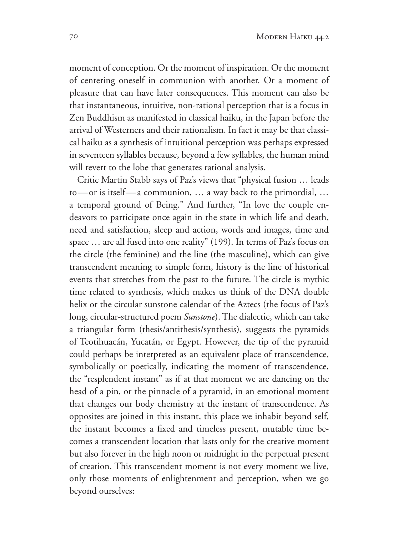moment of conception. Or the moment of inspiration. Or the moment of centering oneself in communion with another. Or a moment of pleasure that can have later consequences. This moment can also be that instantaneous, intuitive, non-rational perception that is a focus in Zen Buddhism as manifested in classical haiku, in the Japan before the arrival of Westerners and their rationalism. In fact it may be that classical haiku as a synthesis of intuitional perception was perhaps expressed in seventeen syllables because, beyond a few syllables, the human mind will revert to the lobe that generates rational analysis.

Critic Martin Stabb says of Paz's views that "physical fusion ... leads to—or is itself—a communion, … a way back to the primordial, … a temporal ground of Being." And further, "In love the couple endeavors to participate once again in the state in which life and death, need and satisfaction, sleep and action, words and images, time and space ... are all fused into one reality" (199). In terms of Paz's focus on the circle (the feminine) and the line (the masculine), which can give transcendent meaning to simple form, history is the line of historical events that stretches from the past to the future. The circle is mythic time related to synthesis, which makes us think of the DNA double helix or the circular sunstone calendar of the Aztecs (the focus of Paz's long, circular-structured poem Sunstone). The dialectic, which can take a triangular form (thesis/antithesis/synthesis), suggests the pyramids of Teotihuacán, Yucatán, or Egypt. However, the tip of the pyramid could perhaps be interpreted as an equivalent place of transcendence, symbolically or poetically, indicating the moment of transcendence, the "resplendent instant" as if at that moment we are dancing on the head of a pin, or the pinnacle of a pyramid, in an emotional moment that changes our body chemistry at the instant of transcendence. As opposites are joined in this instant, this place we inhabit beyond self, the instant becomes a fixed and timeless present, mutable time be comes a transcendent location that lasts only for the creative moment but also forever in the high noon or midnight in the perpetual present of creation. This transcendent moment is not every moment we live, only those moments of enlightenment and perception, when we go beyond ourselves: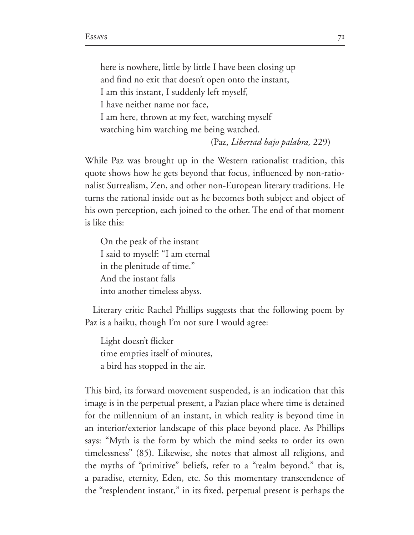here is nowhere, little by little I have been closing up and find no exit that doesn't open onto the instant, I am this instant, I suddenly left myself, I have neither name nor face. I am here, thrown at my feet, watching myself watching him watching me being watched. (Paz, *Libertad bajo palabra,*  

While Paz was brought up in the Western rationalist tradition, this quote shows how he gets beyond that focus, influenced by non-rationalist Surrealism, Zen, and other non-European literary traditions. He turns the rational inside out as he becomes both subject and object of his own perception, each joined to the other. The end of that moment is like this:

On the peak of the instant I said to myself: "I am eternal in the plenitude of time." And the instant falls into another timeless abyss.

Literary critic Rachel Phillips suggests that the following poem by Paz is a haiku, though I'm not sure I would agree:

Light doesn't flicker time empties itself of minutes, a bird has stopped in the air.

This bird, its forward movement suspended, is an indication that this image is in the perpetual present, a Pazian place where time is detained for the millennium of an instant, in which reality is beyond time in an interior/exterior landscape of this place beyond place. As Phillips says: "Myth is the form by which the mind seeks to order its own timelessness" (85). Likewise, she notes that almost all religions, and the myths of "primitive" beliefs, refer to a "realm beyond," that is, a paradise, eternity, Eden, etc. So this momentary transcendence of the "resplendent instant," in its fixed, perpetual present is perhaps the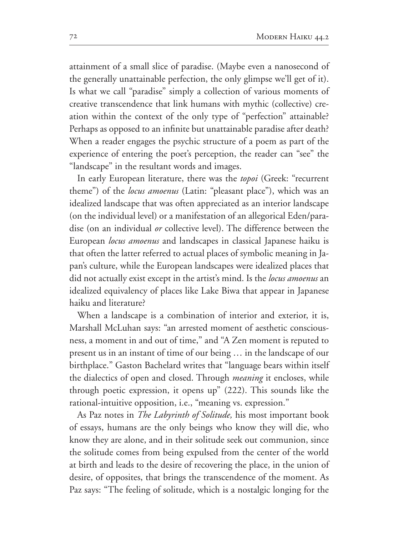attainment of a small slice of paradise. (Maybe even a nanosecond of the generally unattainable perfection, the only glimpse we'll get of it). Is what we call "paradise" simply a collection of various moments of creative transcendence that link humans with mythic (collective) creation within the context of the only type of "perfection" attainable? Perhaps as opposed to an infinite but unattainable paradise after death? When a reader engages the psychic structure of a poem as part of the experience of entering the poet's perception, the reader can "see" the "landscape" in the resultant words and images.

In early European literature, there was the topoi (Greek: "recurrent theme") of the *locus amoenus* (Latin: "pleasant place"), which was an idealized landscape that was often appreciated as an interior landscape (on the individual level) or a manifestation of an allegorical Eden/paradise (on an individual *or* collective level). The difference between the European *locus amoenus* and landscapes in classical Japanese haiku is that often the latter referred to actual places of symbolic meaning in Ja pan's culture, while the European landscapes were idealized places that did not actually exist except in the artist's mind. Is the *locus amoenus* an idealized equivalency of places like Lake Biwa that appear in Japanese haiku and literature?

When a landscape is a combination of interior and exterior, it is, Marshall McLuhan says: "an arrested moment of aesthetic conscious ness, a moment in and out of time," and "A Zen moment is reputed to present us in an instant of time of our being … in the landscape of our birthplace." Gaston Bachelard writes that "language bears within itself the dialectics of open and closed. Through *meaning* it encloses, while through poetic expression, it opens up"  $(222)$ . This sounds like the rational-intuitive opposition, i.e., "meaning vs. expression."

As Paz notes in *The Labyrinth of Solitude,* his most important book of essays, humans are the only beings who know they will die, who know they are alone, and in their solitude seek out communion, since the solitude comes from being expulsed from the center of the world at birth and leads to the desire of recovering the place, in the union of desire, of opposites, that brings the transcendence of the moment. As Paz says: "The feeling of solitude, which is a nostalgic longing for the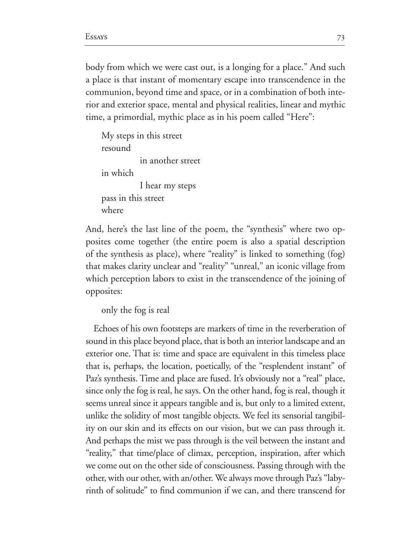body from which we were cast out, is a longing for a place." And such a place is that instant of momentary escape into transcendence in the communion, beyond time and space, or in a combination of both inte rior and exterior space, mental and physical realities, linear and mythic time, a primordial, mythic place as in his poem called "Here":

```
My steps in this street
resound
            in another street
in which
           I hear my steps
pass in this street
where
```
And, here's the last line of the poem, the "synthesis" where two op posites come together (the entire poem is also a spatial description of the synthesis as place), where "reality" is linked to something (fog) that makes clarity unclear and "reality" "unreal," an iconic village from which perception labors to exist in the transcendence of the joining of opposites:

only the fog is real

Echoes of his own footsteps are markers of time in the reverberation of sound in this place beyond place, that is both an interior landscape and an exterior one. That is: time and space are equivalent in this timeless place that is, perhaps, the location, poetically, of the "resplendent instant" of Paz's synthesis. Time and place are fused. It's obviously not a "real" place, since only the fog is real, he says. On the other hand, fog is real, though it seems unreal since it appears tangible and is, but only to a limited extent, unlike the solidity of most tangible objects. We feel its sensorial tangibil ity on our skin and its effects on our vision, but we can pass through it. And perhaps the mist we pass through is the veil between the instant and "reality," that time/place of climax, perception, inspiration, after which we come out on the other side of consciousness. Passing through with the other, with our other, with an/other. We always move through Paz's "laby rinth of solitude" to find communion if we can, and there transcend for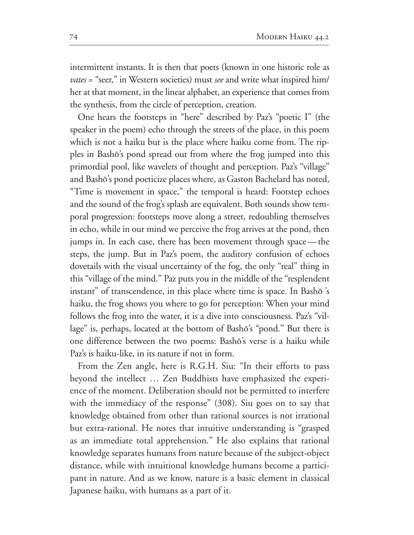intermittent instants. It is then that poets (known in one historic role as *vates* = "seer," in Western societies) must *see* and write what inspired him/ her at that moment, in the linear alphabet, an experience that comes from the synthesis, from the circle of perception, creation.

One hears the footsteps in "here" described by Paz's "poetic I" (the speaker in the poem) echo through the streets of the place, in this poem which is not a haiku but is the place where haiku come from. The rip ples in Bashô's pond spread out from where the frog jumped into this primordial pool, like wavelets of thought and perception. Paz's "village" and Bashô's pond poeticize places where, as Gaston Bachelard has noted, "Time is movement in space," the temporal is heard: Footstep echoes and the sound of the frog's splash are equivalent. Both sounds show tem poral progression: footsteps move along a street, redoubling themselves in echo, while in our mind we perceive the frog arrives at the pond, then jumps in. In each case, there has been movement through space—the steps, the jump. But in Paz's poem, the auditory confusion of echoes dovetails with the visual uncertainty of the fog, the only "real" thing in this "village of the mind." Paz puts you in the middle of the "resplendent instant" of transcendence, in this place where time is space. In Bashō 's haiku, the frog shows you where to go for perception: When your mind follows the frog into the water, it is a dive into consciousness. Paz's "vil lage" is, perhaps, located at the bottom of Bashô's "pond." But there is one difference between the two poems: Bashô's verse is a haiku while Paz's is haiku-like, in its nature if not in form.

From the Zen angle, here is R.G.H. Siu: "In their efforts to pass beyond the intellect … Zen Buddhists have emphasized the experi ence of the moment. Deliberation should not be permitted to interfere with the immediacy of the response" (308). Siu goes on to say that knowledge obtained from other than rational sources is not irrational but extra-rational. He notes that intuitive understanding is "grasped as an immediate total apprehension." He also explains that rational knowledge separates humans from nature because of the subject-object distance, while with intuitional knowledge humans become a partici pant in nature. And as we know, nature is a basic element in classical Japanese haiku, with humans as a part of it.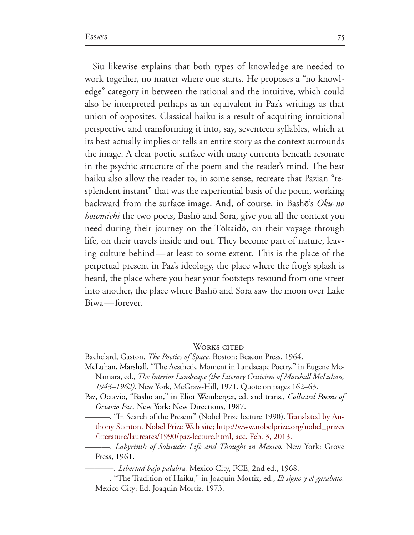Siu likewise explains that both types of knowledge are needed to work together, no matter where one starts. He proposes a "no knowl edge" category in between the rational and the intuitive, which could also be interpreted perhaps as an equivalent in Paz's writings as that union of opposites. Classical haiku is a result of acquiring intuitional perspective and transforming it into, say, seventeen syllables, which at its best actually implies or tells an entire story as the context surrounds the image. A clear poetic surface with many currents beneath resonate in the psychic structure of the poem and the reader's mind. The best haiku also allow the reader to, in some sense, recreate that Pazian "re splendent instant" that was the experiential basis of the poem, working backward from the surface image. And, of course, in Bashô's *Oku-no hosomichi* the two poets, Bashō and Sora, give you all the context you need during their journey on the Tôkaidô, on their voyage through life, on their travels inside and out. They become part of nature, leav ing culture behind—at least to some extent. This is the place of the perpetual present in Paz's ideology, the place where the frog's splash is heard, the place where you hear your footsteps resound from one street into another, the place where Bashō and Sora saw the moon over Lake Biwa—forever.

WORKS CITED

Bachelard, Gaston. *The Poetics of Space*. Boston: Beacon Press, 1964.

McLuhan, Marshall. "The Aesthetic Moment in Landscape Poetry," in Eugene Mc Namara, ed., *The Interior Landscape (the Literary Criticism of Marshall McLuhan,* 1943–1962). New York, McGraw-Hill, 1971. Quote on pages 162–63.

Paz, Octavio, "Basho an," in Eliot Weinberger, ed. and trans., *Collected Poems of Octavio Paz.* New York: New Directions, 1987.

–. "In Search of the Present" (Nobel Prize lecture 1990). Translated by Anthony Stanton. Nobel Prize Web site; http://www.nobelprize.org/nobel\_prizes /literature/laureates/1990/paz-lecture.html, acc. Feb. 3, 2013.

——. *Labyrinth of Solitude: Life and Thought in Mexico*. New York: Grove Press, 1961.

- Libertad bajo palabra. Mexico City, FCE, 2nd ed., 1968.

———. "The Tradition of Haiku," in Joaquin Mortiz, ed., *El signo y el garabato.*  Mexico City: Ed. Joaquin Mortiz, 1973.